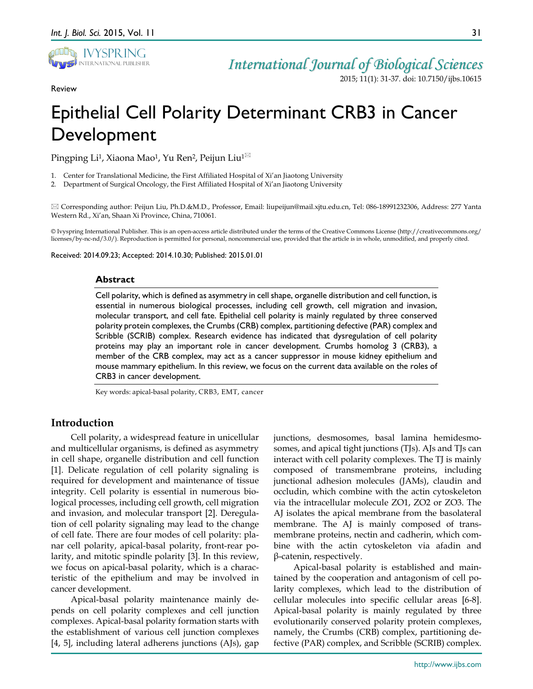

Review

2015; 11(1): 31-37. doi: 10.7150/ijbs.10615

# Epithelial Cell Polarity Determinant CRB3 in Cancer Development

Pingping Li<sup>1</sup>, Xiaona Mao<sup>1</sup>, Yu Ren<sup>2</sup>, Peijun Liu<sup>1⊠</sup>

1. Center for Translational Medicine, the First Affiliated Hospital of Xi'an Jiaotong University

2. Department of Surgical Oncology, the First Affiliated Hospital of Xi'an Jiaotong University

 Corresponding author: Peijun Liu, Ph.D.&M.D., Professor, Email: liupeijun@mail.xjtu.edu.cn, Tel: 086-18991232306, Address: 277 Yanta Western Rd., Xi'an, Shaan Xi Province, China, 710061.

© Ivyspring International Publisher. This is an open-access article distributed under the terms of the Creative Commons License (http://creativecommons.org/ licenses/by-nc-nd/3.0/). Reproduction is permitted for personal, noncommercial use, provided that the article is in whole, unmodified, and properly cited.

Received: 2014.09.23; Accepted: 2014.10.30; Published: 2015.01.01

## **Abstract**

Cell polarity, which is defined as asymmetry in cell shape, organelle distribution and cell function, is essential in numerous biological processes, including cell growth, cell migration and invasion, molecular transport, and cell fate. Epithelial cell polarity is mainly regulated by three conserved polarity protein complexes, the Crumbs (CRB) complex, partitioning defective (PAR) complex and Scribble (SCRIB) complex. Research evidence has indicated that dysregulation of cell polarity proteins may play an important role in cancer development. Crumbs homolog 3 (CRB3), a member of the CRB complex, may act as a cancer suppressor in mouse kidney epithelium and mouse mammary epithelium. In this review, we focus on the current data available on the roles of CRB3 in cancer development.

Key words: apical-basal polarity, CRB3, EMT, cancer

## **Introduction**

Cell polarity, a widespread feature in unicellular and multicellular organisms, is defined as asymmetry in cell shape, organelle distribution and cell function [1]. Delicate regulation of cell polarity signaling is required for development and maintenance of tissue integrity. Cell polarity is essential in numerous biological processes, including cell growth, cell migration and invasion, and molecular transport [2]. Deregulation of cell polarity signaling may lead to the change of cell fate. There are four modes of cell polarity: planar cell polarity, apical-basal polarity, front-rear polarity, and mitotic spindle polarity [3]. In this review, we focus on apical-basal polarity, which is a characteristic of the epithelium and may be involved in cancer development.

Apical-basal polarity maintenance mainly depends on cell polarity complexes and cell junction complexes. Apical-basal polarity formation starts with the establishment of various cell junction complexes [4, 5], including lateral adherens junctions (AJs), gap

junctions, desmosomes, basal lamina hemidesmosomes, and apical tight junctions (TJs). AJs and TJs can interact with cell polarity complexes. The TJ is mainly composed of transmembrane proteins, including junctional adhesion molecules (JAMs), claudin and occludin, which combine with the actin cytoskeleton via the intracellular molecule ZO1, ZO2 or ZO3. The AJ isolates the apical membrane from the basolateral membrane. The AJ is mainly composed of transmembrane proteins, nectin and cadherin, which combine with the actin cytoskeleton via afadin and β-catenin, respectively.

Apical-basal polarity is established and maintained by the cooperation and antagonism of cell polarity complexes, which lead to the distribution of cellular molecules into specific cellular areas [6-8]. Apical-basal polarity is mainly regulated by three evolutionarily conserved polarity protein complexes, namely, the Crumbs (CRB) complex, partitioning defective (PAR) complex, and Scribble (SCRIB) complex.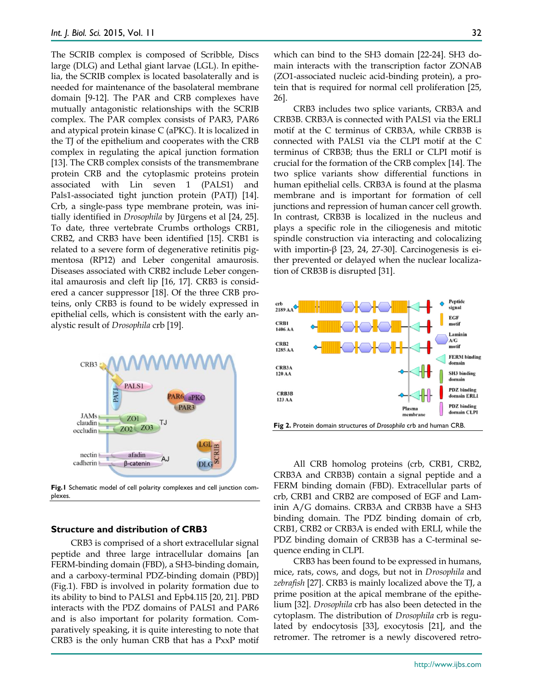The SCRIB complex is composed of Scribble, Discs large (DLG) and Lethal giant larvae (LGL). In epithelia, the SCRIB complex is located basolaterally and is needed for maintenance of the basolateral membrane domain [9-12]. The PAR and CRB complexes have mutually antagonistic relationships with the SCRIB complex. The PAR complex consists of PAR3, PAR6 and atypical protein kinase C (aPKC). It is localized in the TJ of the epithelium and cooperates with the CRB complex in regulating the apical junction formation [13]. The CRB complex consists of the transmembrane protein CRB and the cytoplasmic proteins protein associated with Lin seven 1 (PALS1) and Pals1-associated tight junction protein (PATJ) [14]. Crb, a single-pass type membrane protein, was initially identified in *Drosophila* by Jürgens et al [24, 25]. To date, three vertebrate Crumbs orthologs CRB1, CRB2, and CRB3 have been identified [15]. CRB1 is related to a severe form of degenerative retinitis pigmentosa (RP12) and Leber congenital amaurosis. Diseases associated with CRB2 include Leber congenital amaurosis and cleft lip [16, 17]. CRB3 is considered a cancer suppressor [18]. Of the three CRB proteins, only CRB3 is found to be widely expressed in epithelial cells, which is consistent with the early analystic result of *Drosophila* crb [19].



**Fig.1** Schematic model of cell polarity complexes and cell junction complexes.

## **Structure and distribution of CRB3**

CRB3 is comprised of a short extracellular signal peptide and three large intracellular domains [an FERM-binding domain (FBD), a SH3-binding domain, and a carboxy-terminal PDZ-binding domain (PBD)] (Fig.1). FBD is involved in polarity formation due to its ability to bind to PALS1 and Epb4.1l5 [20, 21]. PBD interacts with the PDZ domains of PALS1 and PAR6 and is also important for polarity formation. Comparatively speaking, it is quite interesting to note that CRB3 is the only human CRB that has a PxxP motif which can bind to the SH3 domain [22-24]. SH3 domain interacts with the transcription factor ZONAB (ZO1-associated nucleic acid-binding protein), a protein that is required for normal cell proliferation [25, 26].

CRB3 includes two splice variants, CRB3A and CRB3B. CRB3A is connected with PALS1 via the ERLI motif at the C terminus of CRB3A, while CRB3B is connected with PALS1 via the CLPI motif at the C terminus of CRB3B; thus the ERLI or CLPI motif is crucial for the formation of the CRB complex [14]. The two splice variants show differential functions in human epithelial cells. CRB3A is found at the plasma membrane and is important for formation of cell junctions and repression of human cancer cell growth. In contrast, CRB3B is localized in the nucleus and plays a specific role in the ciliogenesis and mitotic spindle construction via interacting and colocalizing with importin- $β$  [23, 24, 27-30]. Carcinogenesis is either prevented or delayed when the nuclear localization of CRB3B is disrupted [31].



All CRB homolog proteins (crb, CRB1, CRB2, CRB3A and CRB3B) contain a signal peptide and a FERM binding domain (FBD). Extracellular parts of crb, CRB1 and CRB2 are composed of EGF and Laminin A/G domains. CRB3A and CRB3B have a SH3 binding domain. The PDZ binding domain of crb, CRB1, CRB2 or CRB3A is ended with ERLI, while the PDZ binding domain of CRB3B has a C-terminal sequence ending in CLPI.

CRB3 has been found to be expressed in humans, mice, rats, cows, and dogs, but not in *Drosophila* and *zebrafish* [27]. CRB3 is mainly localized above the TJ, a prime position at the apical membrane of the epithelium [32]. *Drosophila* crb has also been detected in the cytoplasm. The distribution of *Drosophila* crb is regulated by endocytosis [33], exocytosis [21], and the retromer. The retromer is a newly discovered retro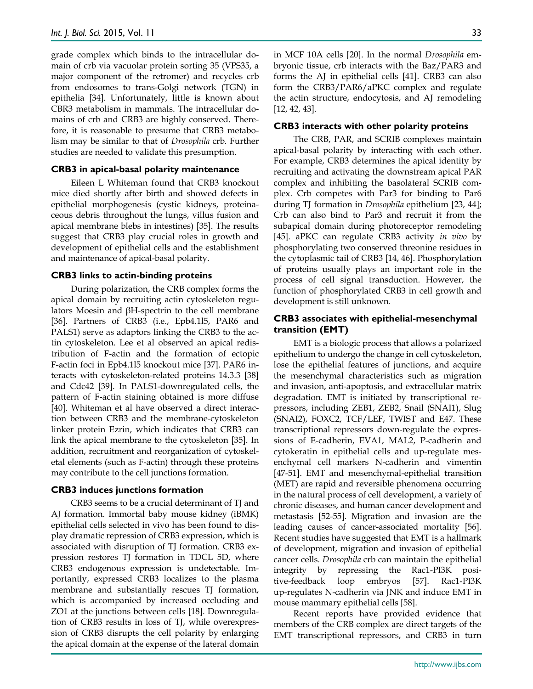grade complex which binds to the intracellular domain of crb via vacuolar protein sorting 35 (VPS35, a major component of the retromer) and recycles crb from endosomes to trans-Golgi network (TGN) in epithelia [34]. Unfortunately, little is known about CBR3 metabolism in mammals. The intracellular domains of crb and CRB3 are highly conserved. Therefore, it is reasonable to presume that CRB3 metabolism may be similar to that of *Drosophila* crb. Further studies are needed to validate this presumption.

#### **CRB3 in apical-basal polarity maintenance**

Eileen L Whiteman found that CRB3 knockout mice died shortly after birth and showed defects in epithelial morphogenesis (cystic kidneys, proteinaceous debris throughout the lungs, villus fusion and apical membrane blebs in intestines) [35]. The results suggest that CRB3 play crucial roles in growth and development of epithelial cells and the establishment and maintenance of apical-basal polarity.

#### **CRB3 links to actin-binding proteins**

During polarization, the CRB complex forms the apical domain by recruiting actin cytoskeleton regulators Moesin and βH-spectrin to the cell membrane [36]. Partners of CRB3 (i.e., Epb4.1l5, PAR6 and PALS1) serve as adaptors linking the CRB3 to the actin cytoskeleton. Lee et al observed an apical redistribution of F-actin and the formation of ectopic F-actin foci in Epb4.1l5 knockout mice [37]. PAR6 interacts with cytoskeleton-related proteins 14.3.3 [38] and Cdc42 [39]. In PALS1-downregulated cells, the pattern of F-actin staining obtained is more diffuse [40]. Whiteman et al have observed a direct interaction between CRB3 and the membrane-cytoskeleton linker protein Ezrin, which indicates that CRB3 can link the apical membrane to the cytoskeleton [35]. In addition, recruitment and reorganization of cytoskeletal elements (such as F-actin) through these proteins may contribute to the cell junctions formation.

#### **CRB3 induces junctions formation**

CRB3 seems to be a crucial determinant of TJ and AJ formation. Immortal baby mouse kidney (iBMK) epithelial cells selected in vivo has been found to display dramatic repression of CRB3 expression, which is associated with disruption of TJ formation. CRB3 expression restores TJ formation in TDCL 5D, where CRB3 endogenous expression is undetectable. Importantly, expressed CRB3 localizes to the plasma membrane and substantially rescues TJ formation, which is accompanied by increased occluding and ZO1 at the junctions between cells [18]. Downregulation of CRB3 results in loss of TJ, while overexpression of CRB3 disrupts the cell polarity by enlarging the apical domain at the expense of the lateral domain in MCF 10A cells [20]. In the normal *Drosophila* embryonic tissue, crb interacts with the Baz/PAR3 and forms the AJ in epithelial cells [41]. CRB3 can also form the CRB3/PAR6/aPKC complex and regulate the actin structure, endocytosis, and AJ remodeling [12, 42, 43].

#### **CRB3 interacts with other polarity proteins**

The CRB, PAR, and SCRIB complexes maintain apical-basal polarity by interacting with each other. For example, CRB3 determines the apical identity by recruiting and activating the downstream apical PAR complex and inhibiting the basolateral SCRIB complex. Crb competes with Par3 for binding to Par6 during TJ formation in *Drosophila* epithelium [23, 44]; Crb can also bind to Par3 and recruit it from the subapical domain during photoreceptor remodeling [45]. aPKC can regulate CRB3 activity *in vivo* by phosphorylating two conserved threonine residues in the cytoplasmic tail of CRB3 [14, 46]. Phosphorylation of proteins usually plays an important role in the process of cell signal transduction. However, the function of phosphorylated CRB3 in cell growth and development is still unknown.

## **CRB3 associates with epithelial-mesenchymal transition (EMT)**

EMT is a biologic process that allows a polarized epithelium to undergo the change in cell cytoskeleton, lose the epithelial features of junctions, and acquire the mesenchymal characteristics such as migration and invasion, anti-apoptosis, and extracellular matrix degradation. EMT is initiated by transcriptional repressors, including ZEB1, ZEB2, Snail (SNAI1), Slug (SNAI2), FOXC2, TCF/LEF, TWIST and E47. These transcriptional repressors down-regulate the expressions of E-cadherin, EVA1, MAL2, P-cadherin and cytokeratin in epithelial cells and up-regulate mesenchymal cell markers N-cadherin and vimentin [47-51]. EMT and mesenchymal-epithelial transition (MET) are rapid and reversible phenomena occurring in the natural process of cell development, a variety of chronic diseases, and human cancer development and metastasis [52-55]. Migration and invasion are the leading causes of cancer-associated mortality [56]. Recent studies have suggested that EMT is a hallmark of development, migration and invasion of epithelial cancer cells. *Drosophila* crb can maintain the epithelial integrity by repressing the Rac1-PI3K positive-feedback loop embryos [57]. Rac1-PI3K up-regulates N-cadherin via JNK and induce EMT in mouse mammary epithelial cells [58].

Recent reports have provided evidence that members of the CRB complex are direct targets of the EMT transcriptional repressors, and CRB3 in turn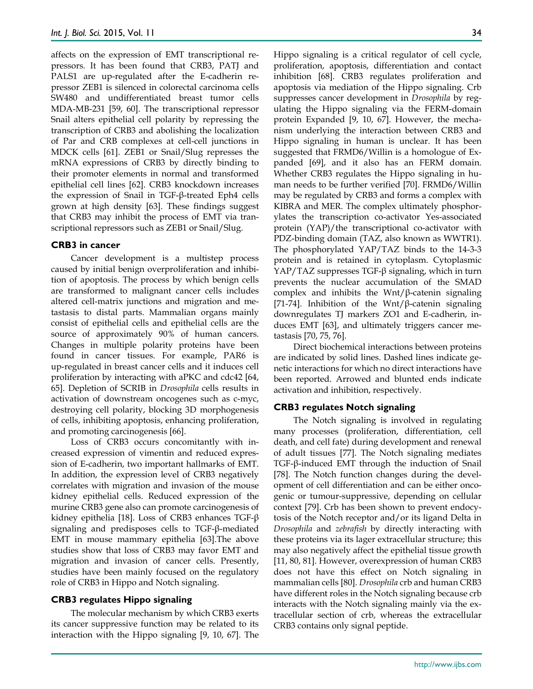affects on the expression of EMT transcriptional repressors. It has been found that CRB3, PATJ and PALS1 are up-regulated after the E-cadherin repressor ZEB1 is silenced in colorectal carcinoma cells SW480 and undifferentiated breast tumor cells MDA-MB-231 [59, 60]. The transcriptional repressor Snail alters epithelial cell polarity by repressing the transcription of CRB3 and abolishing the localization of Par and CRB complexes at cell-cell junctions in MDCK cells [61]. ZEB1 or Snail/Slug represses the mRNA expressions of CRB3 by directly binding to their promoter elements in normal and transformed epithelial cell lines [62]. CRB3 knockdown increases the expression of Snail in TGF-β-treated Eph4 cells grown at high density [63]. These findings suggest that CRB3 may inhibit the process of EMT via transcriptional repressors such as ZEB1 or Snail/Slug.

## **CRB3 in cancer**

Cancer development is a multistep process caused by initial benign overproliferation and inhibition of apoptosis. The process by which benign cells are transformed to malignant cancer cells includes altered cell-matrix junctions and migration and metastasis to distal parts. Mammalian organs mainly consist of epithelial cells and epithelial cells are the source of approximately 90% of human cancers. Changes in multiple polarity proteins have been found in cancer tissues. For example, PAR6 is up-regulated in breast cancer cells and it induces cell proliferation by interacting with aPKC and cdc42 [64, 65]. Depletion of SCRIB in *Drosophila* cells results in activation of downstream oncogenes such as c-myc, destroying cell polarity, blocking 3D morphogenesis of cells, inhibiting apoptosis, enhancing proliferation, and promoting carcinogenesis [66].

Loss of CRB3 occurs concomitantly with increased expression of vimentin and reduced expression of E-cadherin, two important hallmarks of EMT. In addition, the expression level of CRB3 negatively correlates with migration and invasion of the mouse kidney epithelial cells. Reduced expression of the murine CRB3 gene also can promote carcinogenesis of kidney epithelia [18]. Loss of CRB3 enhances TGF-β signaling and predisposes cells to TGF-β-mediated EMT in mouse mammary epithelia [63].The above studies show that loss of CRB3 may favor EMT and migration and invasion of cancer cells. Presently, studies have been mainly focused on the regulatory role of CRB3 in Hippo and Notch signaling.

## **CRB3 regulates Hippo signaling**

The molecular mechanism by which CRB3 exerts its cancer suppressive function may be related to its interaction with the Hippo signaling [9, 10, 67]. The Hippo signaling is a critical regulator of cell cycle, proliferation, apoptosis, differentiation and contact inhibition [68]. CRB3 regulates proliferation and apoptosis via mediation of the Hippo signaling. Crb suppresses cancer development in *Drosophila* by regulating the Hippo signaling via the FERM-domain protein Expanded [9, 10, 67]. However, the mechanism underlying the interaction between CRB3 and Hippo signaling in human is unclear. It has been suggested that FRMD6/Willin is a homologue of Expanded [69], and it also has an FERM domain. Whether CRB3 regulates the Hippo signaling in human needs to be further verified [70]. FRMD6/Willin may be regulated by CRB3 and forms a complex with KIBRA and MER. The complex ultimately phosphorylates the transcription co-activator Yes-associated protein (YAP)/the transcriptional co-activator with PDZ-binding domain (TAZ, also known as WWTR1). The phosphorylated YAP/TAZ binds to the 14-3-3 protein and is retained in cytoplasm. Cytoplasmic YAP/TAZ suppresses TGF-β signaling, which in turn prevents the nuclear accumulation of the SMAD complex and inhibits the Wnt/β-catenin signaling [71-74]. Inhibition of the Wnt/β-catenin signaling downregulates TJ markers ZO1 and E-cadherin, induces EMT [63], and ultimately triggers cancer metastasis [70, 75, 76].

Direct biochemical interactions between proteins are indicated by solid lines. Dashed lines indicate genetic interactions for which no direct interactions have been reported. Arrowed and blunted ends indicate activation and inhibition, respectively.

## **CRB3 regulates Notch signaling**

The Notch signaling is involved in regulating many processes (proliferation, differentiation, cell death, and cell fate) during development and renewal of adult tissues [77]. The Notch signaling mediates TGF-β-induced EMT through the induction of Snail [78]. The Notch function changes during the development of cell differentiation and can be either oncogenic or tumour-suppressive, depending on cellular context [79]. Crb has been shown to prevent endocytosis of the Notch receptor and/or its ligand Delta in *Drosophila* and *zebrafish* by directly interacting with these proteins via its lager extracellular structure; this may also negatively affect the epithelial tissue growth [11, 80, 81]. However, overexpression of human CRB3 does not have this effect on Notch signaling in mammalian cells [80]. *Drosophila* crb and human CRB3 have different roles in the Notch signaling because crb interacts with the Notch signaling mainly via the extracellular section of crb, whereas the extracellular CRB3 contains only signal peptide.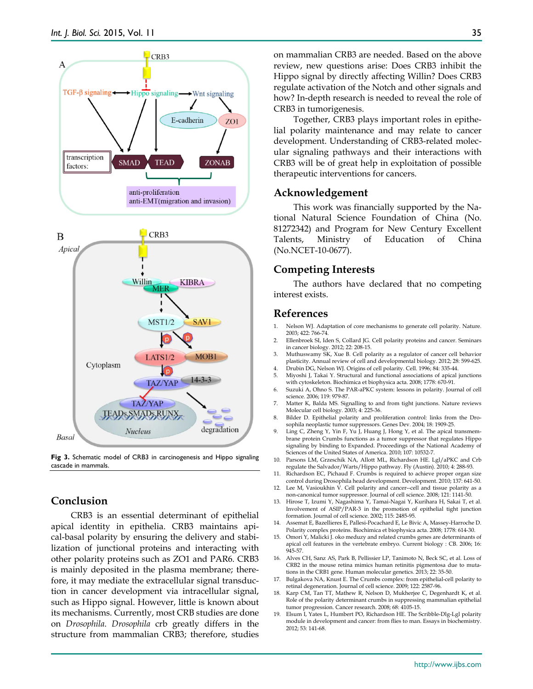

**Fig 3.** Schematic model of CRB3 in carcinogenesis and Hippo signaling cascade in mammals.

# **Conclusion**

CRB3 is an essential determinant of epithelial apical identity in epithelia. CRB3 maintains apical-basal polarity by ensuring the delivery and stabilization of junctional proteins and interacting with other polarity proteins such as ZO1 and PAR6. CRB3 is mainly deposited in the plasma membrane; therefore, it may mediate the extracellular signal transduction in cancer development via intracellular signal, such as Hippo signal. However, little is known about its mechanisms. Currently, most CRB studies are done on *Drosophila*. *Drosophila* crb greatly differs in the structure from mammalian CRB3; therefore, studies

on mammalian CRB3 are needed. Based on the above review, new questions arise: Does CRB3 inhibit the Hippo signal by directly affecting Willin? Does CRB3 regulate activation of the Notch and other signals and how? In-depth research is needed to reveal the role of CRB3 in tumorigenesis.

Together, CRB3 plays important roles in epithelial polarity maintenance and may relate to cancer development. Understanding of CRB3-related molecular signaling pathways and their interactions with CRB3 will be of great help in exploitation of possible therapeutic interventions for cancers.

# **Acknowledgement**

This work was financially supported by the National Natural Science Foundation of China (No. 81272342) and Program for New Century Excellent Talents, Ministry of Education of China (No.NCET-10-0677).

## **Competing Interests**

The authors have declared that no competing interest exists.

## **References**

- Nelson WJ. Adaptation of core mechanisms to generate cell polarity. Nature. 2003; 422: 766-74.
- 2. Ellenbroek SI, Iden S, Collard JG. Cell polarity proteins and cancer. Seminars in cancer biology. 2012; 22: 208-15.
- 3. Muthuswamy SK, Xue B. Cell polarity as a regulator of cancer cell behavior plasticity. Annual review of cell and developmental biology. 2012; 28: 599-625.
- 4. Drubin DG, Nelson WJ. Origins of cell polarity. Cell. 1996; 84: 335-44. 5. Miyoshi J, Takai Y. Structural and functional associations of apical junctions
- with cytoskeleton. Biochimica et biophysica acta. 2008; 1778: 670-91.
- 6. Suzuki A, Ohno S. The PAR-aPKC system: lessons in polarity. Journal of cell science. 2006; 119: 979-87.
- 7. Matter K, Balda MS. Signalling to and from tight junctions. Nature reviews Molecular cell biology. 2003; 4: 225-36.
- 8. Bilder D. Epithelial polarity and proliferation control: links from the Drosophila neoplastic tumor suppressors. Genes Dev. 2004; 18: 1909-25.
- 9. Ling C, Zheng Y, Yin F, Yu J, Huang J, Hong Y, et al. The apical transmembrane protein Crumbs functions as a tumor suppressor that regulates Hippo signaling by binding to Expanded. Proceedings of the National Academy of Sciences of the United States of America. 2010; 107: 10532-7.
- 10. Parsons LM, Grzeschik NA, Allott ML, Richardson HE. Lgl/aPKC and Crb regulate the Salvador/Warts/Hippo pathway. Fly (Austin). 2010; 4: 288-93.
- 11. Richardson EC, Pichaud F. Crumbs is required to achieve proper organ size control during Drosophila head development. Development. 2010; 137: 641-50.
- 12. Lee M, Vasioukhin  $\dot{V}$ . Cell polarity and cancer--cell and tissue polarity as a non-canonical tumor suppressor. Journal of cell science. 2008; 121: 1141-50.
- 13. Hirose T, Izumi Y, Nagashima Y, Tamai-Nagai Y, Kurihara H, Sakai T, et al. Involvement of ASIP/PAR-3 in the promotion of epithelial tight junction formation. Journal of cell science. 2002; 115: 2485-95.
- 14. Assemat E, Bazellieres E, Pallesi-Pocachard E, Le Bivic A, Massey-Harroche D. Polarity complex proteins. Biochimica et biophysica acta. 2008; 1778: 614-30.
- 15. Omori Y, Malicki J. oko meduzy and related crumbs genes are determinants of apical cell features in the vertebrate embryo. Current biology : CB. 2006; 16: 945-57.
- 16. Alves CH, Sanz AS, Park B, Pellissier LP, Tanimoto N, Beck SC, et al. Loss of CRB2 in the mouse retina mimics human retinitis pigmentosa due to mutations in the CRB1 gene. Human molecular genetics. 2013; 22: 35-50.
- 17. Bulgakova NA, Knust E. The Crumbs complex: from epithelial-cell polarity to retinal degeneration. Journal of cell science. 2009; 122: 2587-96.
- 18. Karp CM, Tan TT, Mathew R, Nelson D, Mukherjee C, Degenhardt K, et al. Role of the polarity determinant crumbs in suppressing mammalian epithelial tumor progression. Cancer research. 2008; 68: 4105-15.
- 19. Elsum I, Yates L, Humbert PO, Richardson HE. The Scribble-Dlg-Lgl polarity module in development and cancer: from flies to man. Essays in biochemistry. 2012; 53: 141-68.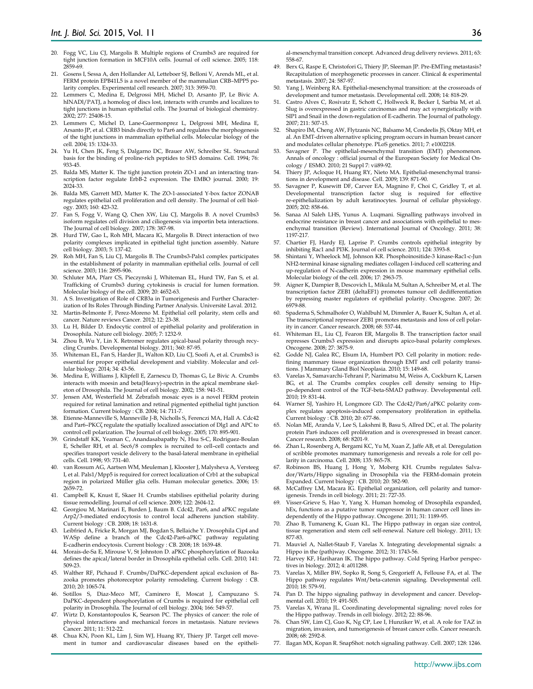- 20. Fogg VC, Liu CJ, Margolis B. Multiple regions of Crumbs3 are required for tight junction formation in MCF10A cells. Journal of cell science. 2005; 118: 2859-69.
- 21. Gosens I, Sessa A, den Hollander AI, Letteboer SJ, Belloni V, Arends ML, et al. FERM protein EPB41L5 is a novel member of the mammalian CRB–MPP5 polarity complex. Experimental cell research. 2007; 313: 3959-70.
- 22. Lemmers C, Medina E, Delgrossi MH, Michel D, Arsanto JP, Le Bivic A. hINADl/PATJ, a homolog of discs lost, interacts with crumbs and localizes to tight junctions in human epithelial cells. The Journal of biological chemistry. 2002; 277: 25408-15.
- 23. Lemmers C, Michel D, Lane-Guermonprez L, Delgrossi MH, Medina E, Arsanto JP, et al. CRB3 binds directly to Par6 and regulates the morphogenesis of the tight junctions in mammalian epithelial cells. Molecular biology of the cell. 2004; 15: 1324-33.
- Yu H, Chen JK, Feng S, Dalgarno DC, Brauer AW, Schreiber SL. Structural basis for the binding of proline-rich peptides to SH3 domains. Cell. 1994; 76: 933-45.
- 25. Balda MS, Matter K. The tight junction protein ZO-1 and an interacting transcription factor regulate ErbB-2 expression. The EMBO journal. 2000; 19: 2024-33.
- 26. Balda MS, Garrett MD, Matter K. The ZO-1-associated Y-box factor ZONAB regulates epithelial cell proliferation and cell density. The Journal of cell biology. 2003; 160: 423-32.
- 27. Fan S, Fogg V, Wang Q, Chen XW, Liu CJ, Margolis B. A novel Crumbs3 isoform regulates cell division and ciliogenesis via importin beta interactions. The Journal of cell biology. 2007; 178: 387-98.
- 28. Hurd TW, Gao L, Roh MH, Macara IG, Margolis B. Direct interaction of two polarity complexes implicated in epithelial tight junction assembly. Nature cell biology. 2003; 5: 137-42.
- 29. Roh MH, Fan S, Liu CJ, Margolis B. The Crumbs3-Pals1 complex participates in the establishment of polarity in mammalian epithelial cells. Journal of cell science. 2003; 116: 2895-906.
- Schluter MA, Pfarr CS, Pieczynski J, Whiteman EL, Hurd TW, Fan S, et al. Trafficking of Crumbs3 during cytokinesis is crucial for lumen formation. Molecular biology of the cell. 2009; 20: 4652-63.
- 31. A S. Investigation of Role of CRB3a in Tumorigenesis and Further Characterization of Its Roles Through Binding Partner Analysis. Université Laval. 2012.
- 32. Martin-Belmonte F, Perez-Moreno M. Epithelial cell polarity, stem cells and cancer. Nature reviews Cancer. 2012; 12: 23-38.
- 33. Lu H, Bilder D. Endocytic control of epithelial polarity and proliferation in Drosophila. Nature cell biology. 2005; 7: 1232-9.
- 34. Zhou B, Wu Y, Lin X. Retromer regulates apical-basal polarity through recycling Crumbs. Developmental biology. 2011; 360: 87-95.
- 35. Whiteman EL, Fan S, Harder JL, Walton KD, Liu CJ, Soofi A, et al. Crumbs3 is essential for proper epithelial development and viability. Molecular and cellular biology. 2014; 34: 43-56.
- 36. Medina E, Williams J, Klipfell E, Zarnescu D, Thomas G, Le Bivic A. Crumbs interacts with moesin and beta(Heavy)-spectrin in the apical membrane skeleton of Drosophila. The Journal of cell biology. 2002; 158: 941-51.
- 37. Jensen AM, Westerfield M. Zebrafish mosaic eyes is a novel FERM protein required for retinal lamination and retinal pigmented epithelial tight junction formation. Current biology : CB. 2004; 14: 711-7.
- 38. Etienne-Manneville S, Manneville J-B, Nicholls S, Ferenczi MA, Hall A. Cdc42 and Par6–PKCζ regulate the spatially localized association of Dlg1 and APC to control cell polarization. The Journal of cell biology. 2005; 170: 895-901.
- 39. Grindstaff KK, Yeaman C, Anandasabapathy N, Hsu S-C, Rodriguez-Boulan E, Scheller RH, et al. Sec6/8 complex is recruited to cell–cell contacts and specifies transport vesicle delivery to the basal-lateral membrane in epithelial cells. Cell. 1998; 93: 731-40.
- 40. van Rossum AG, Aartsen WM, Meuleman J, Klooster J, Malysheva A, Versteeg I, et al. Pals1/Mpp5 is required for correct localization of Crb1 at the subapical region in polarized Müller glia cells. Human molecular genetics. 2006; 15: 2659-72.
- 41. Campbell K, Knust E, Skaer H. Crumbs stabilises epithelial polarity during tissue remodelling. Journal of cell science. 2009; 122: 2604-12.
- 42. Georgiou M, Marinari E, Burden J, Baum B. Cdc42, Par6, and aPKC regulate Arp2/3-mediated endocytosis to control local adherens junction stability. Current biology : CB. 2008; 18: 1631-8.
- 43. Leibfried A, Fricke R, Morgan MJ, Bogdan S, Bellaiche Y. Drosophila Cip4 and WASp define a branch of the Cdc42-Par6-aPKC pathway regulating E-cadherin endocytosis. Current biology : CB. 2008; 18: 1639-48.
- 44. Morais-de-Sa E, Mirouse V, St Johnston D. aPKC phosphorylation of Bazooka defines the apical/lateral border in Drosophila epithelial cells. Cell. 2010; 141: 509-23.
- 45. Walther RF, Pichaud F. Crumbs/DaPKC-dependent apical exclusion of Bazooka promotes photoreceptor polarity remodeling. Current biology : CB. 2010; 20: 1065-74.
- 46. Sotillos S, Diaz-Meco MT, Caminero E, Moscat J, Campuzano S. DaPKC-dependent phosphorylation of Crumbs is required for epithelial cell polarity in Drosophila. The Journal of cell biology. 2004; 166: 549-57.
- 47. Wirtz D, Konstantopoulos K, Searson PC. The physics of cancer: the role of physical interactions and mechanical forces in metastasis. Nature reviews Cancer. 2011; 11: 512-22.
- 48. Chua KN, Poon KL, Lim J, Sim WJ, Huang RY, Thiery JP. Target cell movement in tumor and cardiovascular diseases based on the epitheli-

al-mesenchymal transition concept. Advanced drug delivery reviews. 2011; 63: 558-67.

- 49. Berx G, Raspe E, Christofori G, Thiery JP, Sleeman JP. Pre-EMTing metastasis? Recapitulation of morphogenetic processes in cancer. Clinical & experimental metastasis. 2007; 24: 587-97.
- 50. Yang J, Weinberg RA. Epithelial-mesenchymal transition: at the crossroads of development and tumor metastasis. Developmental cell. 2008; 14: 818-29.
- 51. Castro Alves C, Rosivatz E, Schott C, Hollweck R, Becker I, Sarbia M, et al. Slug is overexpressed in gastric carcinomas and may act synergistically with SIP1 and Snail in the down-regulation of E-cadherin. The Journal of pathology. 2007; 211: 507-15.
- 52. Shapiro IM, Cheng AW, Flytzanis NC, Balsamo M, Condeelis JS, Oktay MH, et al. An EMT-driven alternative splicing program occurs in human breast cancer and modulates cellular phenotype. PLoS genetics. 2011; 7: e1002218.
- Savagner P. The epithelial-mesenchymal transition (EMT) phenomenon. Annals of oncology : official journal of the European Society for Medical Oncology / ESMO. 2010; 21 Suppl 7: vii89-92.
- Thiery JP, Acloque H, Huang RY, Nieto MA. Epithelial-mesenchymal transitions in development and disease. Cell. 2009; 139: 871-90.
- 55. Savagner P, Kusewitt DF, Carver EA, Magnino F, Choi C, Gridley T, et al. Developmental transcription factor slug is required for effective re-epithelialization by adult keratinocytes. Journal of cellular physiology. 2005; 202: 858-66.
- 56. Sanaa Al Saleh LHS, Yunus A. Luqmani. Signalling pathways involved in endocrine resistance in breast cancer and associations with epithelial to mesenchymal transition (Review). International Journal of Oncology. 2011; 38: 1197-217.
- 57. Chartier FJ, Hardy EJ, Laprise P. Crumbs controls epithelial integrity by inhibiting Rac1 and PI3K. Journal of cell science. 2011; 124: 3393-8.
- 58. Shintani Y, Wheelock MJ, Johnson KR. Phosphoinositide-3 kinase-Rac1-c-Jun NH2-terminal kinase signaling mediates collagen I-induced cell scattering and up-regulation of N-cadherin expression in mouse mammary epithelial cells. Molecular biology of the cell. 2006; 17: 2963-75.
- 59. Aigner K, Dampier B, Descovich L, Mikula M, Sultan A, Schreiber M, et al. The transcription factor ZEB1 (deltaEF1) promotes tumour cell dedifferentiation by repressing master regulators of epithelial polarity. Oncogene. 2007; 26: 6979-88.
- 60. Spaderna S, Schmalhofer O, Wahlbuhl M, Dimmler A, Bauer K, Sultan A, et al. The transcriptional repressor ZEB1 promotes metastasis and loss of cell polarity in cancer. Cancer research. 2008; 68: 537-44.
- 61. Whiteman EL, Liu CJ, Fearon ER, Margolis B. The transcription factor snail represses Crumbs3 expression and disrupts apico-basal polarity complexes. Oncogene. 2008; 27: 3875-9.
- 62. Godde NJ, Galea RC, Elsum IA, Humbert PO. Cell polarity in motion: redefining mammary tissue organization through EMT and cell polarity transitions. J Mammary Gland Biol Neoplasia. 2010; 15: 149-68.
- 63. Varelas X, Samavarchi-Tehrani P, Narimatsu M, Weiss A, Cockburn K, Larsen BG, et al. The Crumbs complex couples cell density sensing to Hippo-dependent control of the TGF-beta-SMAD pathway. Developmental cell. 2010; 19: 831-44.
- 64. Warner SJ, Yashiro H, Longmore GD. The Cdc42/Par6/aPKC polarity complex regulates apoptosis-induced compensatory proliferation in epithelia. Current biology : CB. 2010; 20: 677-86.
- 65. Nolan ME, Aranda V, Lee S, Lakshmi B, Basu S, Allred DC, et al. The polarity protein Par6 induces cell proliferation and is overexpressed in breast cancer. Cancer research. 2008; 68: 8201-9.
- Zhan L, Rosenberg A, Bergami KC, Yu M, Xuan Z, Jaffe AB, et al. Deregulation of scribble promotes mammary tumorigenesis and reveals a role for cell polarity in carcinoma. Cell. 2008; 135: 865-78.
- Robinson BS, Huang J, Hong Y, Moberg KH. Crumbs regulates Salvador/Warts/Hippo signaling in Drosophila via the FERM-domain protein Expanded. Current biology : CB. 2010; 20: 582-90.
- 68. McCaffrey LM, Macara IG. Epithelial organization, cell polarity and tumorigenesis. Trends in cell biology. 2011; 21: 727-35.
- Visser-Grieve S, Hao Y, Yang X. Human homolog of Drosophila expanded, hEx, functions as a putative tumor suppressor in human cancer cell lines independently of the Hippo pathway. Oncogene. 2011; 31: 1189-95.
- 70. Zhao B, Tumaneng K, Guan KL. The Hippo pathway in organ size control, tissue regeneration and stem cell self-renewal. Nature cell biology. 2011; 13: 877-83.
- 71. Mauviel A, Nallet-Staub F, Varelas X. Integrating developmental signals: a Hippo in the (path)way. Oncogene. 2012; 31: 1743-56.
- 72. Harvey KF, Hariharan IK. The hippo pathway. Cold Spring Harbor perspectives in biology. 2012; 4: a011288.
- 73. Varelas X, Miller BW, Sopko R, Song S, Gregorieff A, Fellouse FA, et al. The Hippo pathway regulates Wnt/beta-catenin signaling. Developmental cell. 2010; 18: 579-91.
- 74. Pan D. The hippo signaling pathway in development and cancer. Developmental cell. 2010; 19: 491-505.
- Varelas X, Wrana JL. Coordinating developmental signaling: novel roles for the Hippo pathway. Trends in cell biology. 2012; 22: 88-96.
- 76. Chan SW, Lim CJ, Guo K, Ng CP, Lee I, Hunziker W, et al. A role for TAZ in migration, invasion, and tumorigenesis of breast cancer cells. Cancer research. 2008; 68: 2592-8.
- 77. Ilagan MX, Kopan R. SnapShot: notch signaling pathway. Cell. 2007; 128: 1246.